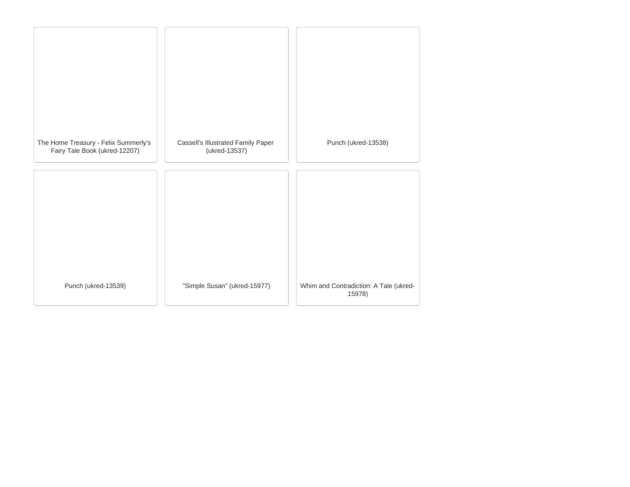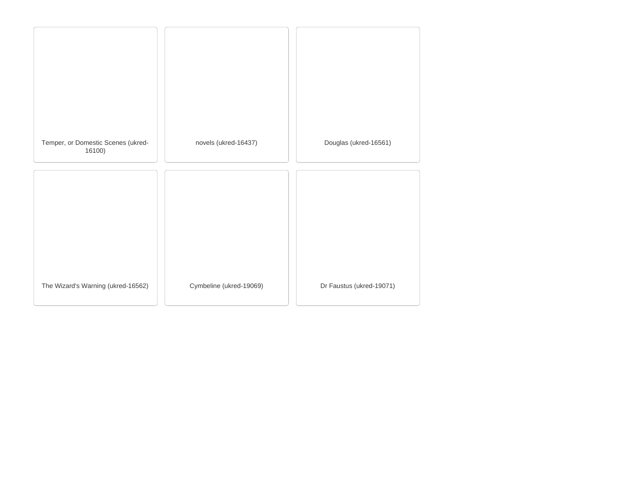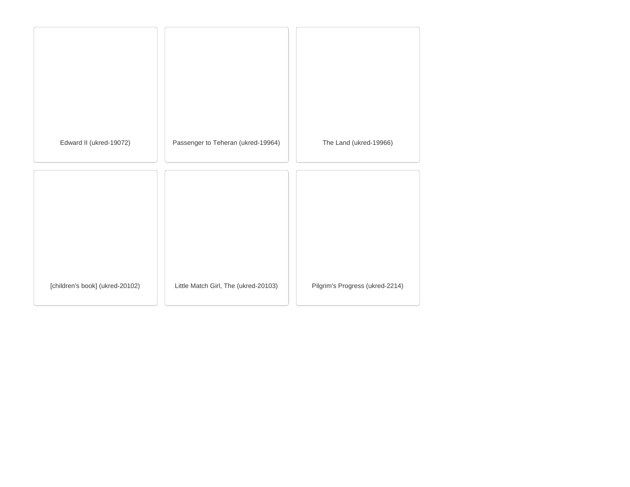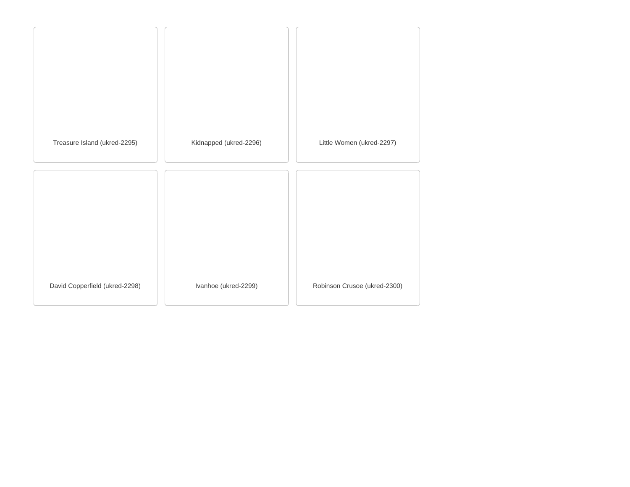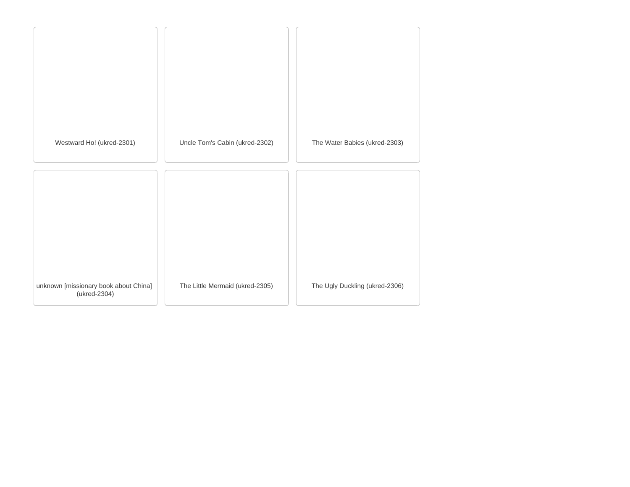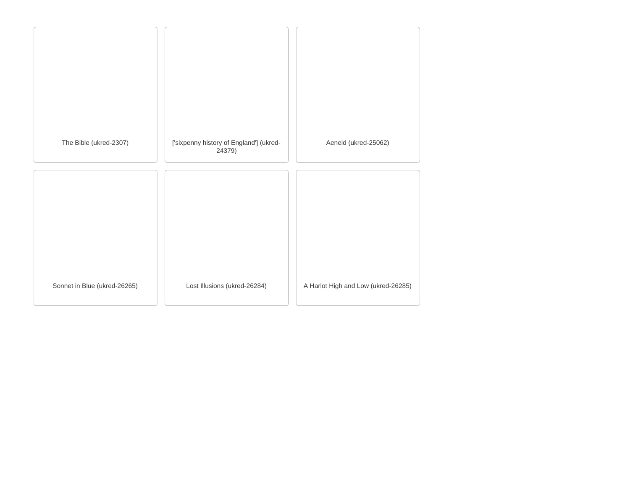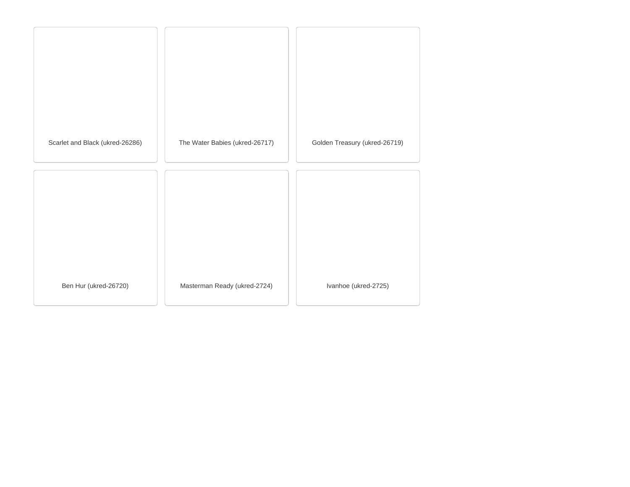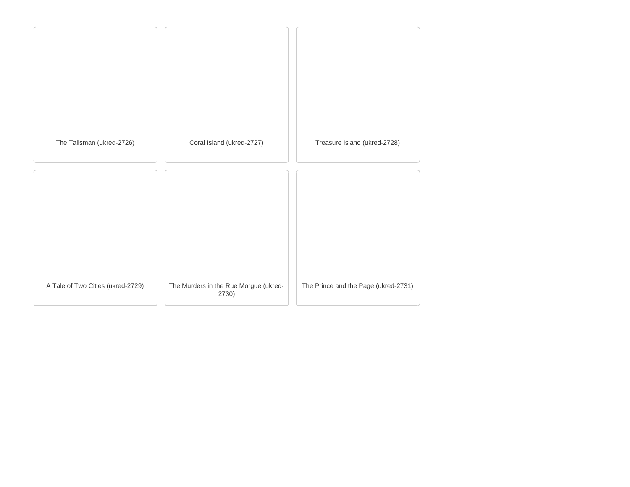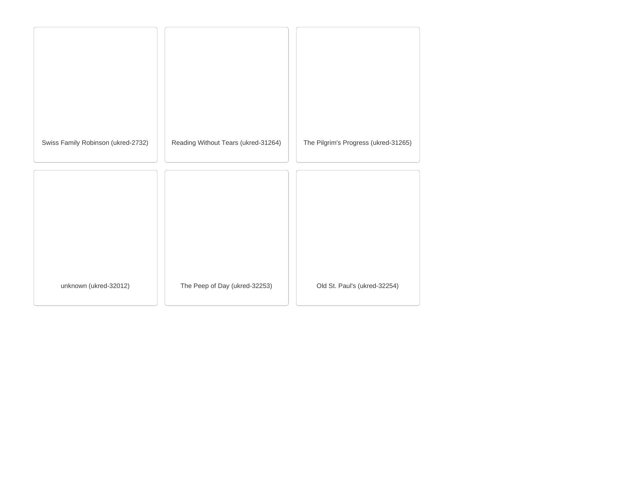| Swiss Family Robinson (ukred-2732) | Reading Without Tears (ukred-31264) | The Pilgrim's Progress (ukred-31265) |
|------------------------------------|-------------------------------------|--------------------------------------|
|                                    |                                     |                                      |
|                                    |                                     |                                      |
|                                    |                                     |                                      |
|                                    |                                     |                                      |
|                                    |                                     |                                      |
| unknown (ukred-32012)              | The Peep of Day (ukred-32253)       | Old St. Paul's (ukred-32254)         |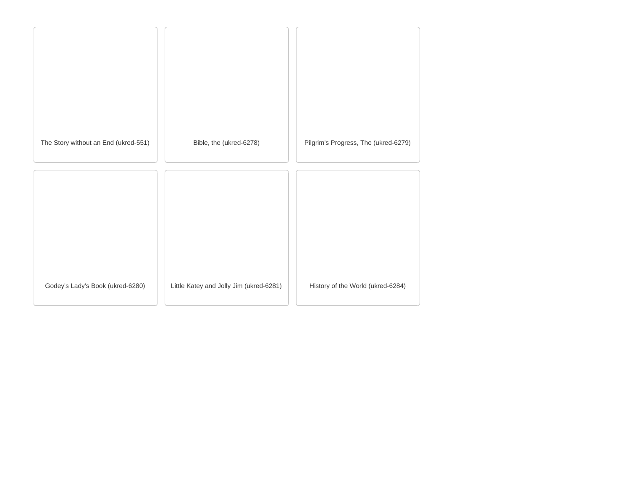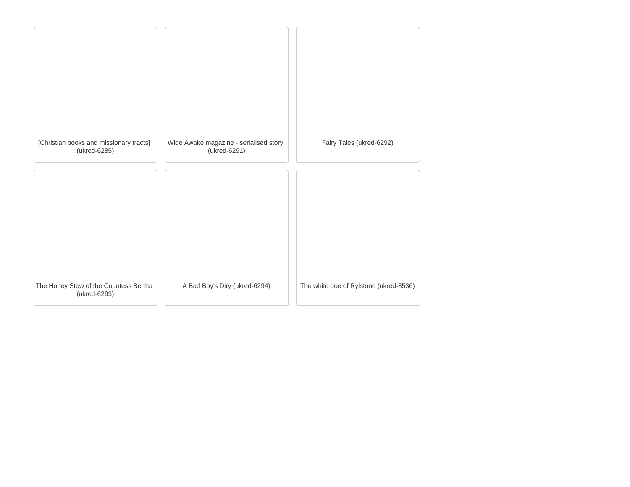